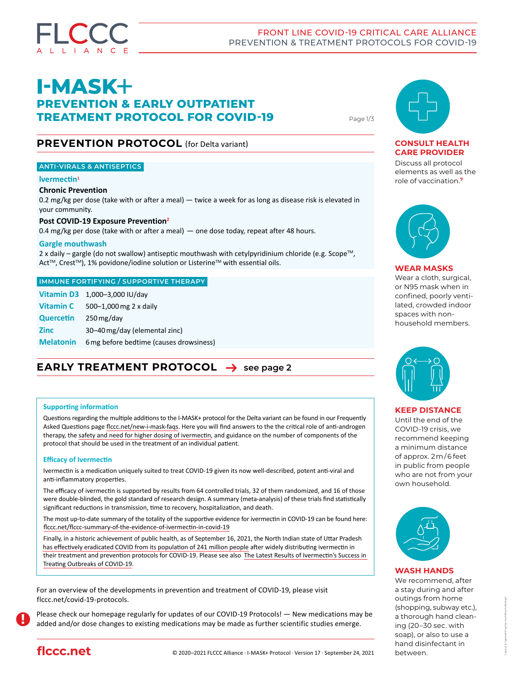

# **I-MASK+ PREVENTION & EARLY OUTPATIENT TREATMENT PROTOCOL FOR COVID-19** Page 1/3

# **PREVENTION PROTOCOL** (for Delta variant)

### **ANTI-VIRALS & ANTISEPTICS**

#### **lvermectin<sup>1</sup>**

#### **Chronic Prevention**

0.2 mg/kg per dose (take with or after a meal) — twice a week for as long as disease risk is elevated in your community.

#### **Post COVID-19 Exposure Prevention<sup>2</sup>**

0.4 mg/kg per dose (take with or after a meal) — one dose today, repeat after 48 hours.

#### **Gargle mouthwash**

2 x daily – gargle (do not swallow) antiseptic mouthwash with cetylpyridinium chloride (e.g. Scope™, Act™, Crest™), 1% povidone/iodine solution or Listerine™ with essential oils.

#### **IMMUNE FORTIFYING / SUPPORTIVE THERAPY**

|                  | Vitamin D3 1,000-3,000 IU/day             |
|------------------|-------------------------------------------|
|                  | <b>Vitamin C</b> $500-1,000$ mg 2 x daily |
| Quercetin        | $250$ mg/day                              |
| <b>Zinc</b>      | 30-40 mg/day (elemental zinc)             |
| <b>Melatonin</b> | 6 mg before bedtime (causes drowsiness)   |

# **EARLY TREATMENT PROTOCOL**  $\rightarrow$  [see page 2](#page-1-0)

#### **Supporting information**

Questions regarding the multiple additions to the I-MASK+ protocol for the Delta variant can be found in our Frequently Asked Questions page [flccc.net/new-i-mask-faqs.](https://flccc.net/new-i-mask-faqs) Here you will find answers to the the critical role of anti-androgen therapy, the [safety and need for higher dosing of ivermectin](https://flccc.net/flccc-information-evidence-for-safety-of-ivermectin), and guidance on the number of components of the protocol that should be used in the treatment of an individual patient.

#### **Efficacy of Ivermectin**

Ivermectin is a medication uniquely suited to treat COVID-19 given its now well-described, potent anti-viral and anti-inflammatory properties.

The efficacy of ivermectin is supported by results from 64 controlled trials, 32 of them randomized, and 16 of those were double-blinded, the gold standard of research design. A summary (meta-analysis) of these trials find statistically significant reductions in transmission, time to recovery, hospitalization, and death.

The most up-to-date summary of the totality of the supportive evidence for ivermectin in COVID-19 can be found here: [flccc.net/flccc-summary-of-the-evidence-of-ivermectin-in-covid-19](https://covid19criticalcare.com/flccc-summary-of-the-evidence-of-ivermectin-in-covid-19/)

Finally, in a historic achievement of public health, as of September 16, 2021, the Nort[h](https://www.hindustantimes.com/cities/lucknow-news/33-districts-in-uttar-pradesh-are-now-covid-free-state-govt-101631267966925.html) Indian state of Uttar Pradesh [has effectively eradicated COVID from its population of 241 million people](https://www.hindustantimes.com/cities/lucknow-news/33-districts-in-uttar-pradesh-are-now-covid-free-state-govt-101631267966925.html) after widely distributing ivermectin in their treatment and prevention protocols for COVID-19. Please see also The Latest Results of Ivermectin's Success in [Treating Outbreaks of COVID-19](https:/flccc.net/ivermectin-in-covid-19/epidemiologic-analyses-on-covid19-and-ivermectin/).

For an overview of the developments in prevention and treatment of COVID-19, please visit [flccc.net/covid-19-protocols](https://www.flccc.net/covid-19-protocols).

Please check our homepage regularly for updates of our COVID-19 Protocols! — New medications may be added and/or dose changes to existing medications may be made as further scientific studies emerge. **!**



### **CONSULT HEALTH CARE PROVIDER**

Discuss all protocol elements as well as the role of vaccination.**<sup>7</sup>**



#### **WEAR MASKS**

Wear a cloth, surgical, or N95 mask when in confined, poorly ventilated, crowded indoor spaces with nonhousehold members.



#### **KEEP DISTANCE**

Until the end of the COVID-19 crisis, we recommend keeping a minimum distance of approx. 2 m / 6 feet in public from people who are not from your own household.



#### **WASH HANDS**

We recommend, after a stay during and after outings from home (shopping, subway etc.), a thorough hand cleaning (20–30 sec. with soap), or also to use a hand disinfectant in between.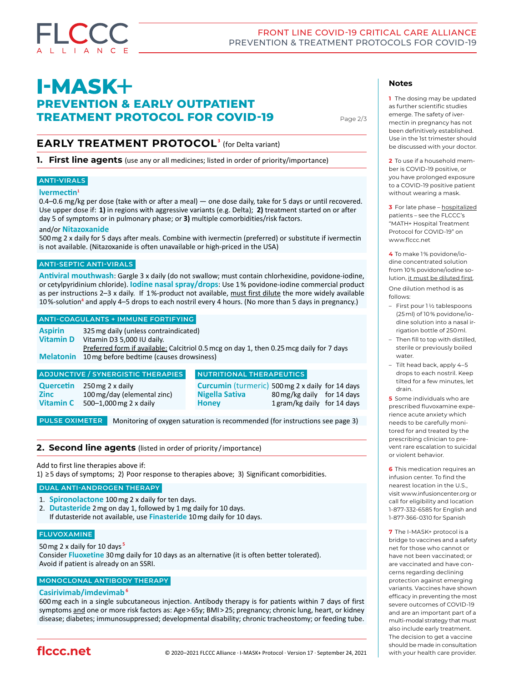# <span id="page-1-0"></span>**I-MASK+ PREVENTION & EARLY OUTPATIENT TREATMENT PROTOCOL FOR COVID-19**

Page 2/3

# **EARLY TREATMENT PROTOCOL<sup>3</sup>** (for Delta variant)

**1. First line agents** (use any or all medicines; listed in order of priority/importance)

# **ANTI-VIRALS**

#### **lvermectin<sup>1</sup>**

0.4–0.6 mg/kg per dose (take with or after a meal) — one dose daily, take for 5 days or until recovered. Use upper dose if: **1)** in regions with aggressive variants (e.g. Delta); **2)** treatment started on or after day 5 of symptoms or in pulmonary phase; or **3)** multiple comorbidities/risk factors.

#### and/or **Nitazoxanide**

500mg 2 x daily for 5 days after meals. Combine with ivermectin (preferred) or substitute if ivermectin is not available. (Nitazoxanide is often unavailable or high-priced in the USA)

#### **ANTI-SEPTIC ANTI-VIRALS**

**Antiviral mouthwash**: Gargle 3 x daily (do not swallow; must contain chlorhexidine, povidone-iodine, or cetylpyridinium chloride). **Iodine nasal spray/drops**: Use 1% povidone-iodine commercial product as per instructions 2–3 x daily. If 1%-product not available, must first dilute the more widely available 10%-solution<sup>4</sup> and apply 4–5 drops to each nostril every 4 hours. (No more than 5 days in pregnancy.)

#### **ANTI-COAGULANTS + IMMUNE FORTIFYING**

| <b>Aspirin</b>   | 325 mg daily (unless contraindicated)                                                    |
|------------------|------------------------------------------------------------------------------------------|
|                  |                                                                                          |
| <b>Vitamin D</b> | Vitamin D3 5,000 IU daily.                                                               |
|                  | Preferred form if available: Calcitriol 0.5 mcg on day 1, then 0.25 mcg daily for 7 days |
|                  | <b>Melatonin</b> 10 mg before bedtime (causes drowsiness)                                |
|                  |                                                                                          |

#### **Quercetin** 250mg 2 x daily **Zinc** 100mg/day (elemental zinc) **Vitamin C** 500–1,000mg 2 x daily **ADJUNCTIVE / SYNERGISTIC THERAPIES**

#### **NUTRITIONAL THERAPEUTICS**

**Curcumin** (turmeric) 500mg 2 x daily for 14 days **Nigella Sativa** 80 mg/kg daily for 14 days **Honey** 1gram/kg daily for 14 days

**PULSE OXIMETER** Monitoring of oxygen saturation is recommended (for instructions see page 3)

#### **2. Second line agents** (listed in order of priority /importance)

Add to first line therapies above if:

1) ≥5 days of symptoms; 2) Poor response to therapies above; 3) Significant comorbidities.

#### **DUAL ANTI-ANDROGEN THERAPY**

- 1. **Spironolactone** 100mg 2 x daily for ten days.
- 2. **Dutasteride** 2mg on day 1, followed by 1 mg daily for 10 days. If dutasteride not available, use **Finasteride** 10mg daily for 10 days.

#### **FLUVOXAMINE**

50mg 2 x daily for 10 days **<sup>5</sup>** Consider **Fluoxetine** 30mg daily for 10 days as an alternative (it is often better tolerated). Avoid if patient is already on an SSRI.

# **MONOCLONAL ANTIBODY THERAPY**

#### **Casirivimab/imdevimab<sup>6</sup>**

600mg each in a single subcutaneous injection**.** Antibody therapy is for patients within 7 days of first symptoms and one or more risk factors as: Age > 65y; BMI > 25; pregnancy; chronic lung, heart, or kidney disease; diabetes; immunosuppressed; developmental disability; chronic tracheostomy; or feeding tube.

#### **Notes**

**1** The dosing may be updated as further scientific studies emerge. The safety of ivermectin in pregnancy has not been definitively established. Use in the 1st trimester should be discussed with your doctor.

**2** To use if a household member is COVID-19 positive, or you have prolonged exposure to a COVID-19 positive patient without wearing a mask.

**3** [For late phase – hospitalized](http://www.flccc.net/math-hospital-treatment/) [patients – see the FLCCC's](http://www.flccc.net/math-hospital-treatment/)  ["MATH+ Hospital Treatment](http://www.flccc.net/math-hospital-treatment/)  [Protocol for COVID-19" on](http://www.flccc.net/math-hospital-treatment/)  [www.flccc.net](http://www.flccc.net/math-hospital-treatment/) 

**4** [T](http://www.flccc.net/math-hospital-treatment/)o make 1 % povidone/iodine concentrated solution from 10 % povidone/iodine solution, it must be diluted first. One dilution method is as

follows:

- First pour 1 ½ tablespoons (25 ml) of 10 % povidone/iodine solution into a nasal irrigation bottle of 250 ml.
- Then fill to top with distilled, sterile or previously boiled water.
- Tilt head back, apply 4–5 drops to each nostril. Keep tilted for a few minutes, let drain.

**5** [S](http://www.flccc.net/math-hospital-treatment/)ome individuals who are prescribed fluvoxamine experience acute anxiety which needs to be carefully monitored for and treated by the prescribing clinician to prevent rare escalation to suicidal or violent behavior.

**6** [T](http://www.flccc.net/math-hospital-treatment/)his medication requires an infusion center. To find the nearest location in the U.S., visit www.infusioncenter.org or call for eligibility and location 1-877-332-6585 for English and 1-877-366-0310 for Spanish

**7** [T](http://www.flccc.net/math-hospital-treatment/)he I-MASK+ protocol is a bridge to vaccines and a safety net for those who cannot or have not been vaccinated; or are vaccinated and have concerns regarding declining protection against emerging variants. Vaccines have shown efficacy in preventing the most severe outcomes of COVID-19 and are an important part of a multi-modal strategy that must also include early treatment. The decision to get a vaccine should be made in consultation with your health care provider.